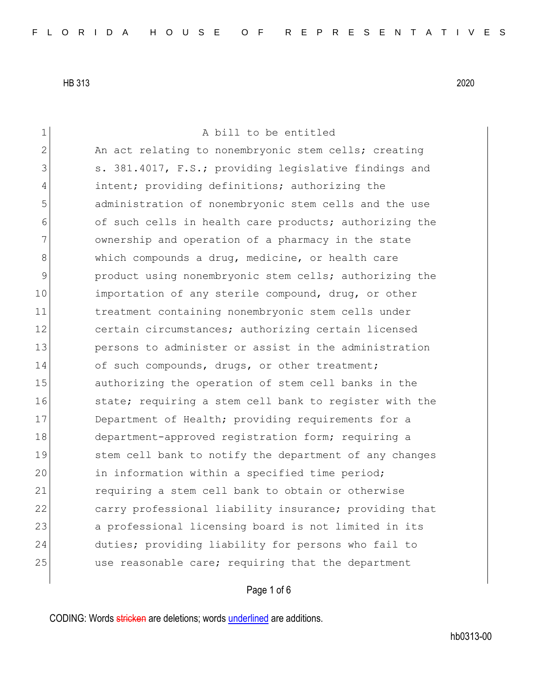1 a bill to be entitled 2 An act relating to nonembryonic stem cells; creating 3 S. 381.4017, F.S.; providing legislative findings and 4 intent; providing definitions; authorizing the 5 administration of nonembryonic stem cells and the use 6 of such cells in health care products; authorizing the 7 ownership and operation of a pharmacy in the state 8 which compounds a drug, medicine, or health care 9 9 product using nonembryonic stem cells; authorizing the 10 importation of any sterile compound, drug, or other 11 treatment containing nonembryonic stem cells under 12 certain circumstances; authorizing certain licensed 13 persons to administer or assist in the administration 14 of such compounds, drugs, or other treatment; 15 authorizing the operation of stem cell banks in the 16 state; requiring a stem cell bank to register with the 17 Department of Health; providing requirements for a 18 department-approved registration form; requiring a 19 Stem cell bank to notify the department of any changes 20 in information within a specified time period; 21 requiring a stem cell bank to obtain or otherwise 22 carry professional liability insurance; providing that 23 a professional licensing board is not limited in its 24 duties; providing liability for persons who fail to 25 use reasonable care; requiring that the department

## Page 1 of 6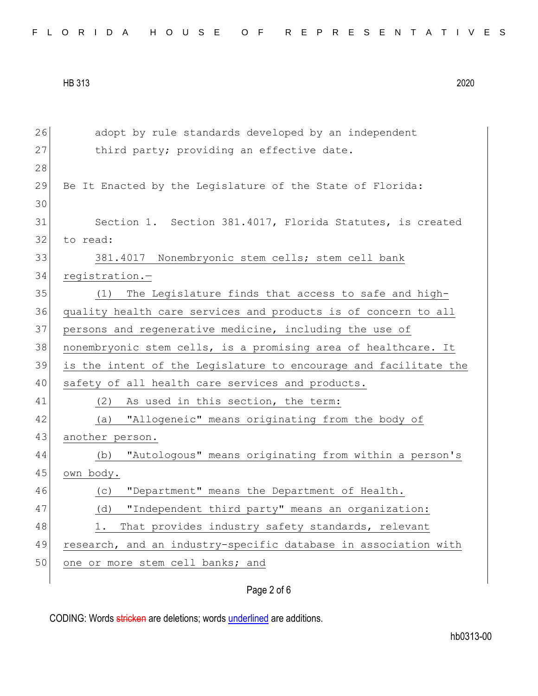| FLORIDA HOUSE OF REPRESENTATIVES |  |
|----------------------------------|--|
|----------------------------------|--|

| 26 | adopt by rule standards developed by an independent              |
|----|------------------------------------------------------------------|
| 27 | third party; providing an effective date.                        |
| 28 |                                                                  |
| 29 | Be It Enacted by the Legislature of the State of Florida:        |
| 30 |                                                                  |
| 31 | Section 1. Section 381.4017, Florida Statutes, is created        |
| 32 | to read:                                                         |
| 33 | 381.4017 Nonembryonic stem cells; stem cell bank                 |
| 34 | registration.-                                                   |
| 35 | The Legislature finds that access to safe and high-<br>(1)       |
| 36 | quality health care services and products is of concern to all   |
| 37 | persons and regenerative medicine, including the use of          |
| 38 | nonembryonic stem cells, is a promising area of healthcare. It   |
| 39 | is the intent of the Legislature to encourage and facilitate the |
| 40 | safety of all health care services and products.                 |
| 41 | (2) As used in this section, the term:                           |
| 42 | "Allogeneic" means originating from the body of<br>(a)           |
| 43 | another person.                                                  |
| 44 | "Autologous" means originating from within a person's<br>(b)     |
| 45 | own body.                                                        |
| 46 | "Department" means the Department of Health.<br>(C)              |
| 47 | "Independent third party" means an organization:<br>(d)          |
| 48 | That provides industry safety standards, relevant<br>1.          |
| 49 | research, and an industry-specific database in association with  |
| 50 | one or more stem cell banks; and                                 |
|    |                                                                  |

Page 2 of 6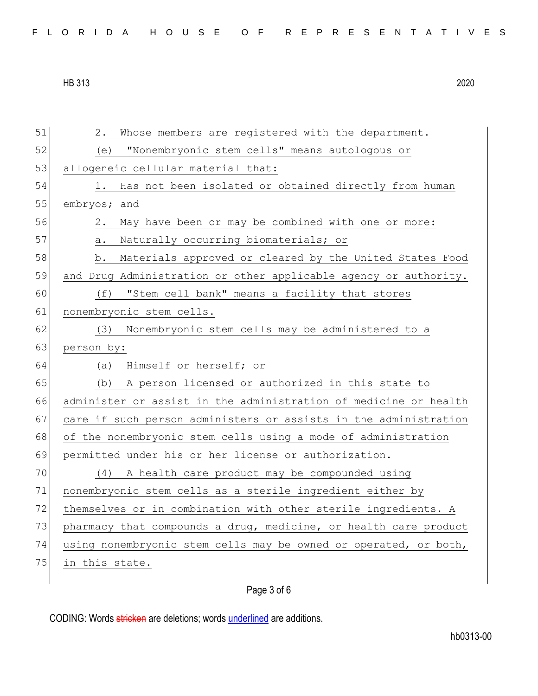| FLORIDA HOUSE OF REPRESENTATIVES |  |
|----------------------------------|--|
|----------------------------------|--|

| 51 | Whose members are registered with the department.<br>2.          |
|----|------------------------------------------------------------------|
| 52 | "Nonembryonic stem cells" means autologous or<br>(e)             |
| 53 | allogeneic cellular material that:                               |
| 54 | Has not been isolated or obtained directly from human<br>1.      |
| 55 | embryos; and                                                     |
| 56 | May have been or may be combined with one or more:<br>2.         |
| 57 | Naturally occurring biomaterials; or<br>а.                       |
| 58 | Materials approved or cleared by the United States Food<br>b.    |
| 59 | and Drug Administration or other applicable agency or authority. |
| 60 | (f)<br>"Stem cell bank" means a facility that stores             |
| 61 | nonembryonic stem cells.                                         |
| 62 | Nonembryonic stem cells may be administered to a<br>(3)          |
| 63 | person by:                                                       |
|    |                                                                  |
| 64 | Himself or herself; or<br>(a)                                    |
| 65 | A person licensed or authorized in this state to<br>(b)          |
| 66 | administer or assist in the administration of medicine or health |
| 67 | care if such person administers or assists in the administration |
| 68 | of the nonembryonic stem cells using a mode of administration    |
| 69 | permitted under his or her license or authorization.             |
| 70 | A health care product may be compounded using<br>(4)             |
| 71 | nonembryonic stem cells as a sterile ingredient either by        |
| 72 | themselves or in combination with other sterile ingredients. A   |
| 73 | pharmacy that compounds a drug, medicine, or health care product |
| 74 | using nonembryonic stem cells may be owned or operated, or both, |
| 75 | in this state.                                                   |

## Page 3 of 6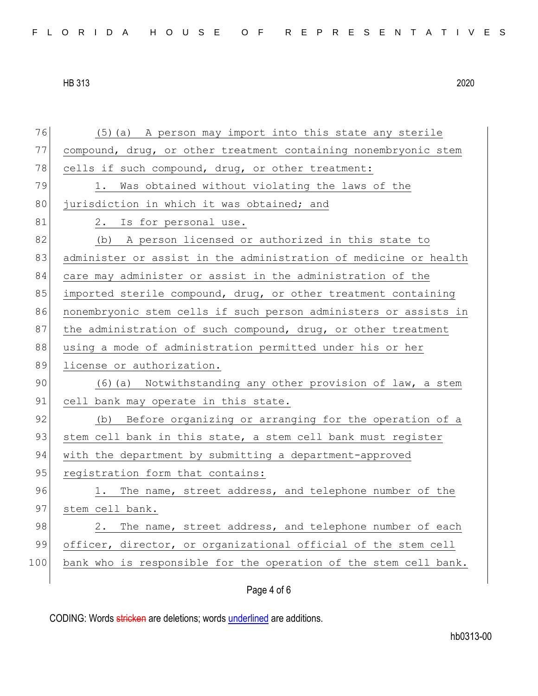76 (5)(a) A person may import into this state any sterile 77 compound, drug, or other treatment containing nonembryonic stem 78 cells if such compound, drug, or other treatment: 79 1. Was obtained without violating the laws of the 80 jurisdiction in which it was obtained; and 81 2. Is for personal use. 82 (b) A person licensed or authorized in this state to 83 administer or assist in the administration of medicine or health 84 care may administer or assist in the administration of the 85 imported sterile compound, drug, or other treatment containing 86 nonembryonic stem cells if such person administers or assists in 87 the administration of such compound, drug, or other treatment 88 using a mode of administration permitted under his or her 89 license or authorization. 90 (6)(a) Notwithstanding any other provision of law, a stem 91 cell bank may operate in this state. 92 (b) Before organizing or arranging for the operation of a 93 stem cell bank in this state, a stem cell bank must register 94 with the department by submitting a department-approved 95 registration form that contains: 96 1. The name, street address, and telephone number of the 97 stem cell bank. 98 2. The name, street address, and telephone number of each 99 officer, director, or organizational official of the stem cell 100 bank who is responsible for the operation of the stem cell bank.

## Page 4 of 6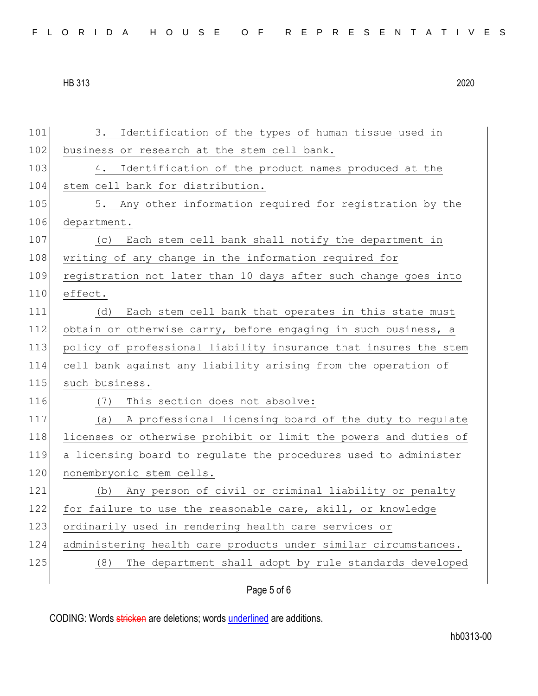101 3. Identification of the types of human tissue used in 102 business or research at the stem cell bank. 103 4. Identification of the product names produced at the 104 stem cell bank for distribution. 105 5. Any other information required for registration by the 106 department. 107 (c) Each stem cell bank shall notify the department in 108 writing of any change in the information required for 109 registration not later than 10 days after such change goes into 110 effect. 111 (d) Each stem cell bank that operates in this state must 112 obtain or otherwise carry, before engaging in such business, a 113 policy of professional liability insurance that insures the stem 114 cell bank against any liability arising from the operation of 115 such business. 116 (7) This section does not absolve: 117 (a) A professional licensing board of the duty to regulate 118 licenses or otherwise prohibit or limit the powers and duties of 119 a licensing board to regulate the procedures used to administer 120 nonembryonic stem cells. 121 (b) Any person of civil or criminal liability or penalty 122 for failure to use the reasonable care, skill, or knowledge 123 ordinarily used in rendering health care services or 124 administering health care products under similar circumstances. 125 (8) The department shall adopt by rule standards developed

## Page 5 of 6